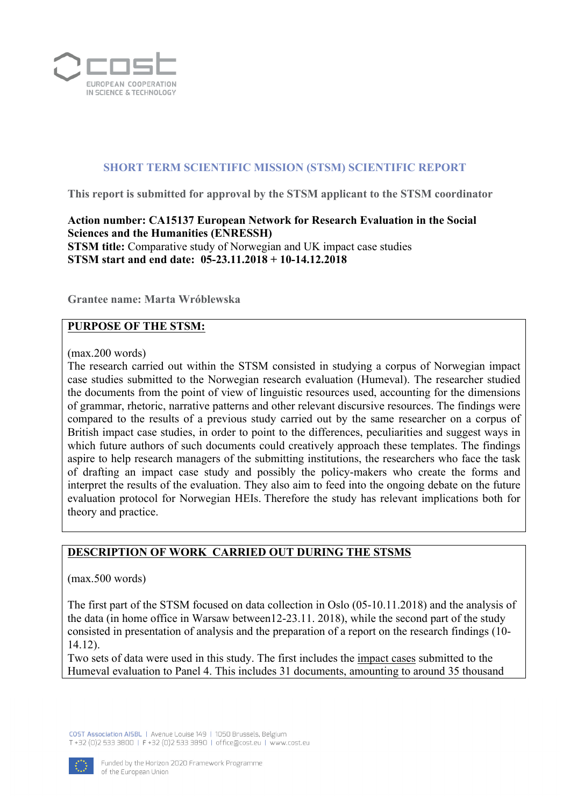

### **SHORT TERM SCIENTIFIC MISSION (STSM) SCIENTIFIC REPORT**

**This report is submitted for approval by the STSM applicant to the STSM coordinator** 

**Action number: CA15137 European Network for Research Evaluation in the Social Sciences and the Humanities (ENRESSH) STSM title:** Comparative study of Norwegian and UK impact case studies **STSM start and end date: 05-23.11.2018 + 10-14.12.2018** 

**Grantee name: Marta Wróblewska**

#### **PURPOSE OF THE STSM:**

(max.200 words)

The research carried out within the STSM consisted in studying a corpus of Norwegian impact case studies submitted to the Norwegian research evaluation (Humeval). The researcher studied the documents from the point of view of linguistic resources used, accounting for the dimensions of grammar, rhetoric, narrative patterns and other relevant discursive resources. The findings were compared to the results of a previous study carried out by the same researcher on a corpus of British impact case studies, in order to point to the differences, peculiarities and suggest ways in which future authors of such documents could creatively approach these templates. The findings aspire to help research managers of the submitting institutions, the researchers who face the task of drafting an impact case study and possibly the policy-makers who create the forms and interpret the results of the evaluation. They also aim to feed into the ongoing debate on the future evaluation protocol for Norwegian HEIs. Therefore the study has relevant implications both for theory and practice.

#### **DESCRIPTION OF WORK CARRIED OUT DURING THE STSMS**

(max.500 words)

The first part of the STSM focused on data collection in Oslo (05-10.11.2018) and the analysis of the data (in home office in Warsaw between12-23.11. 2018), while the second part of the study consisted in presentation of analysis and the preparation of a report on the research findings (10- 14.12).

Two sets of data were used in this study. The first includes the impact cases submitted to the Humeval evaluation to Panel 4. This includes 31 documents, amounting to around 35 thousand

COST Association AISBL | Avenue | ouise 149 | 1050 Brussels, Belgium T +32 (0)2 533 3800 | F +32 (0)2 533 3890 | office@cost.eu | www.cost.eu

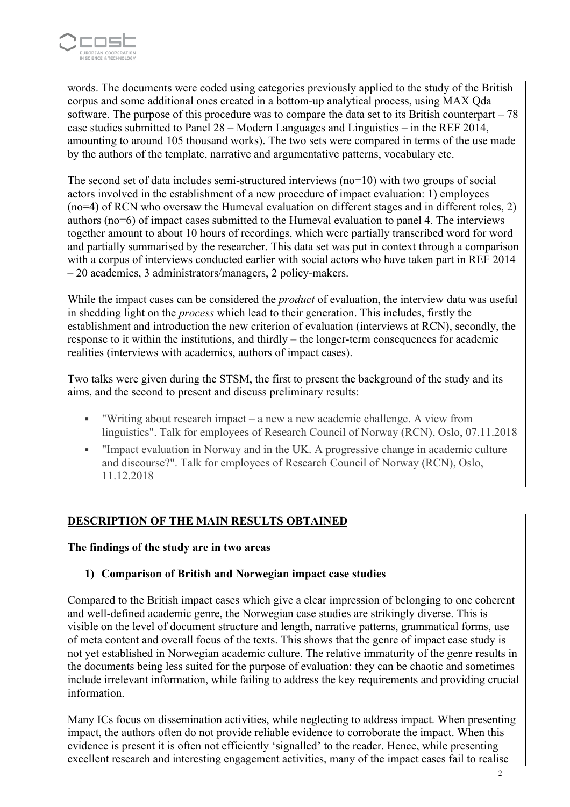

words. The documents were coded using categories previously applied to the study of the British corpus and some additional ones created in a bottom-up analytical process, using MAX Qda software. The purpose of this procedure was to compare the data set to its British counterpart – 78 case studies submitted to Panel 28 – Modern Languages and Linguistics – in the REF 2014, amounting to around 105 thousand works). The two sets were compared in terms of the use made by the authors of the template, narrative and argumentative patterns, vocabulary etc.

The second set of data includes semi-structured interviews (no=10) with two groups of social actors involved in the establishment of a new procedure of impact evaluation: 1) employees (no=4) of RCN who oversaw the Humeval evaluation on different stages and in different roles, 2) authors (no=6) of impact cases submitted to the Humeval evaluation to panel 4. The interviews together amount to about 10 hours of recordings, which were partially transcribed word for word and partially summarised by the researcher. This data set was put in context through a comparison with a corpus of interviews conducted earlier with social actors who have taken part in REF 2014 – 20 academics, 3 administrators/managers, 2 policy-makers.

While the impact cases can be considered the *product* of evaluation, the interview data was useful in shedding light on the *process* which lead to their generation. This includes, firstly the establishment and introduction the new criterion of evaluation (interviews at RCN), secondly, the response to it within the institutions, and thirdly – the longer-term consequences for academic realities (interviews with academics, authors of impact cases).

Two talks were given during the STSM, the first to present the background of the study and its aims, and the second to present and discuss preliminary results:

- "Writing about research impact a new a new academic challenge. A view from linguistics". Talk for employees of Research Council of Norway (RCN), Oslo, 07.11.2018
- § "Impact evaluation in Norway and in the UK. A progressive change in academic culture and discourse?". Talk for employees of Research Council of Norway (RCN), Oslo, 11.12.2018

## **DESCRIPTION OF THE MAIN RESULTS OBTAINED**

#### **The findings of the study are in two areas**

## **1) Comparison of British and Norwegian impact case studies**

Compared to the British impact cases which give a clear impression of belonging to one coherent and well-defined academic genre, the Norwegian case studies are strikingly diverse. This is visible on the level of document structure and length, narrative patterns, grammatical forms, use of meta content and overall focus of the texts. This shows that the genre of impact case study is not yet established in Norwegian academic culture. The relative immaturity of the genre results in the documents being less suited for the purpose of evaluation: they can be chaotic and sometimes include irrelevant information, while failing to address the key requirements and providing crucial information.

Many ICs focus on dissemination activities, while neglecting to address impact. When presenting impact, the authors often do not provide reliable evidence to corroborate the impact. When this evidence is present it is often not efficiently 'signalled' to the reader. Hence, while presenting excellent research and interesting engagement activities, many of the impact cases fail to realise